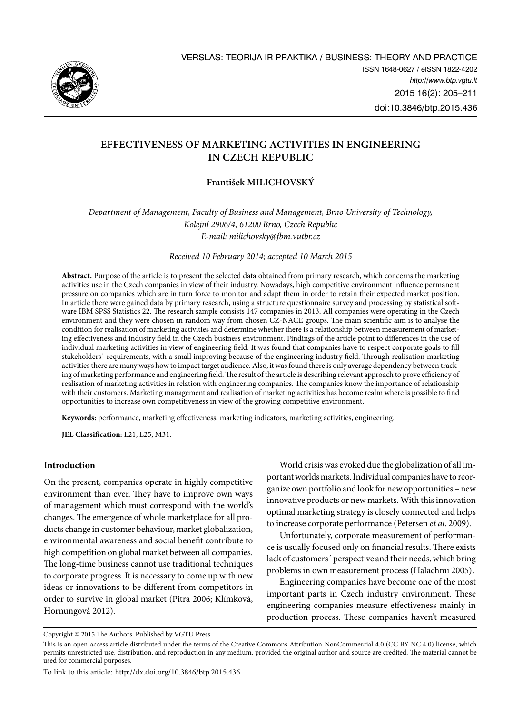

# **Effectiveness of marketing activities in engineering in Czech Republic**

# **František MILICHOVSKÝ**

*Department of Management, Faculty of Business and Management, Brno University of Technology, Kolejní 2906/4, 61200 Brno, Czech Republic E-mail: [milichovsky@fbm.vutbr.cz](mailto:milichovsky@fbm.vutbr.cz)*

*Received 10 February 2014; accepted 10 March 2015*

**Abstract.** Purpose of the article is to present the selected data obtained from primary research, which concerns the marketing activities use in the Czech companies in view of their industry. Nowadays, high competitive environment influence permanent pressure on companies which are in turn force to monitor and adapt them in order to retain their expected market position. In article there were gained data by primary research, using a structure questionnaire survey and processing by statistical software IBM SPSS Statistics 22. The research sample consists 147 companies in 2013. All companies were operating in the Czech environment and they were chosen in random way from chosen CZ-NACE groups. The main scientific aim is to analyse the condition for realisation of marketing activities and determine whether there is a relationship between measurement of marketing effectiveness and industry field in the Czech business environment. Findings of the article point to differences in the use of individual marketing activities in view of engineering field. It was found that companies have to respect corporate goals to fill stakeholders' requirements, with a small improving because of the engineering industry field. Through realisation marketing activities there are many ways how to impact target audience. Also, it was found there is only average dependency between tracking of marketing performance and engineering field. The result of the article is describing relevant approach to prove efficiency of realisation of marketing activities in relation with engineering companies. The companies know the importance of relationship with their customers. Marketing management and realisation of marketing activities has become realm where is possible to find opportunities to increase own competitiveness in view of the growing competitive environment.

**Keywords:** performance, marketing effectiveness, marketing indicators, marketing activities, engineering.

**JEL Classification:** L21, L25, M31.

#### **Introduction**

On the present, companies operate in highly competitive environment than ever. They have to improve own ways of management which must correspond with the world's changes. The emergence of whole marketplace for all products change in customer behaviour, market globalization, environmental awareness and social benefit contribute to high competition on global market between all companies. The long-time business cannot use traditional techniques to corporate progress. It is necessary to come up with new ideas or innovations to be different from competitors in order to survive in global market (Pitra 2006; Klímková, Hornungová 2012).

World crisis was evoked due the globalization of all important worlds markets. Individual companies have to reorganize own portfolio and look for new opportunities – new innovative products or new markets. With this innovation optimal marketing strategy is closely connected and helps to increase corporate performance (Petersen *et al*. 2009).

Unfortunately, corporate measurement of performance is usually focused only on financial results. There exists lack of customers´ perspective and their needs, which bring problems in own measurement process (Halachmi 2005).

Engineering companies have become one of the most important parts in Czech industry environment. These engineering companies measure effectiveness mainly in production process. These companies haven't measured

Copyright © 2015 The Authors. Published by VGTU Press.

This is an open-access article distributed under the terms of the [Creative Commons Attribution-NonCommercial 4.0](http://creativecommons.org/licenses/by-nc/4.0/) (CC BY-NC 4.0) license, which permits unrestricted use, distribution, and reproduction in any medium, provided the original author and source are credited. The material cannot be used for commercial purposes.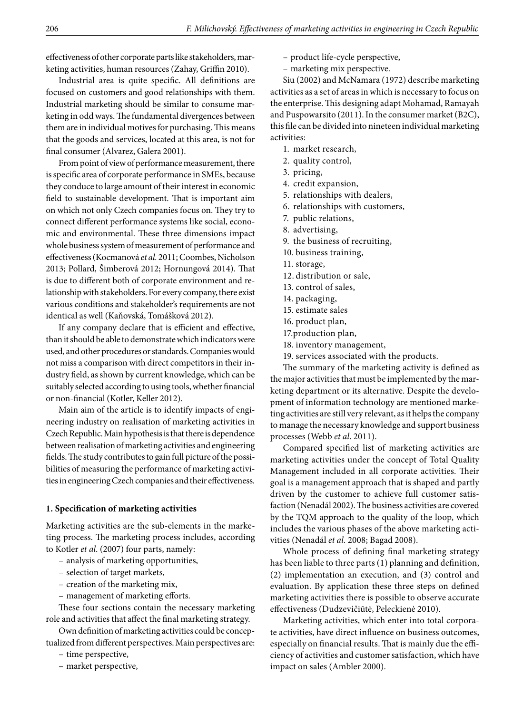effectiveness of other corporate parts like stakeholders, marketing activities, human resources (Zahay, Griffin 2010).

Industrial area is quite specific. All definitions are focused on customers and good relationships with them. Industrial marketing should be similar to consume marketing in odd ways. The fundamental divergences between them are in individual motives for purchasing. This means that the goods and services, located at this area, is not for final consumer (Alvarez, Galera 2001).

From point of view of performance measurement, there is specific area of corporate performance in SMEs, because they conduce to large amount of their interest in economic field to sustainable development. That is important aim on which not only Czech companies focus on. They try to connect different performance systems like social, economic and environmental. These three dimensions impact whole business system of measurement of performance and effectiveness (Kocmanová *et al.* 2011; Coombes, Nicholson 2013; Pollard, Šimberová 2012; Hornungová 2014). That is due to different both of corporate environment and relationship with stakeholders. For every company, there exist various conditions and stakeholder's requirements are not identical as well (Kaňovská, Tomášková 2012).

If any company declare that is efficient and effective, than it should be able to demonstrate which indicators were used, and other procedures or standards. Companies would not miss a comparison with direct competitors in their industry field, as shown by current knowledge, which can be suitably selected according to using tools, whether financial or non-financial (Kotler, Keller 2012).

Main aim of the article is to identify impacts of engineering industry on realisation of marketing activities in Czech Republic. Main hypothesis is that there is dependence between realisation of marketing activities and engineering fields. The study contributes to gain full picture of the possibilities of measuring the performance of marketing activities in engineering Czech companies and their effectiveness.

#### **1. Specification of marketing activities**

Marketing activities are the sub-elements in the marketing process. The marketing process includes, according to Kotler *et al*. (2007) four parts, namely:

- analysis of marketing opportunities,
- selection of target markets,
- creation of the marketing mix,
- management of marketing efforts.

These four sections contain the necessary marketing role and activities that affect the final marketing strategy.

Own definition of marketing activities could be conceptualized from different perspectives. Main perspectives are:

- time perspective,
- market perspective,

– product life-cycle perspective,

– marketing mix perspective.

Siu (2002) and McNamara (1972) describe marketing activities as a set of areas in which is necessary to focus on the enterprise. This designing adapt Mohamad, Ramayah and Puspowarsito (2011). In the consumer market (B2C), this file can be divided into nineteen individual marketing activities:

- 1. market research,
- 2. quality control,
- 3. pricing,
- 4. credit expansion,
- 5. relationships with dealers,
- 6. relationships with customers,
- 7. public relations,
- 8. advertising,
- 9. the business of recruiting,
- 10. business training,
- 11. storage,
- 12. distribution or sale,
- 13. control of sales,
- 14. packaging,
- 15. estimate sales
- 16. product plan,
- 17.production plan,
- 18. inventory management,
- 19. services associated with the products.

The summary of the marketing activity is defined as the major activities that must be implemented by the marketing department or its alternative. Despite the development of information technology are mentioned marketing activities are still very relevant, as it helps the company to manage the necessary knowledge and support business processes (Webb *et al*. 2011).

Compared specified list of marketing activities are marketing activities under the concept of Total Quality Management included in all corporate activities. Their goal is a management approach that is shaped and partly driven by the customer to achieve full customer satisfaction (Nenadál 2002). The business activities are covered by the TQM approach to the quality of the loop, which includes the various phases of the above marketing activities (Nenadál *et al.* 2008; Bagad 2008).

Whole process of defining final marketing strategy has been liable to three parts (1) planning and definition, (2) implementation an execution, and (3) control and evaluation. By application these three steps on defined marketing activities there is possible to observe accurate effectiveness (Dudzevičiūtė, Peleckienė 2010).

Marketing activities, which enter into total corporate activities, have direct influence on business outcomes, especially on financial results. That is mainly due the efficiency of activities and customer satisfaction, which have impact on sales (Ambler 2000).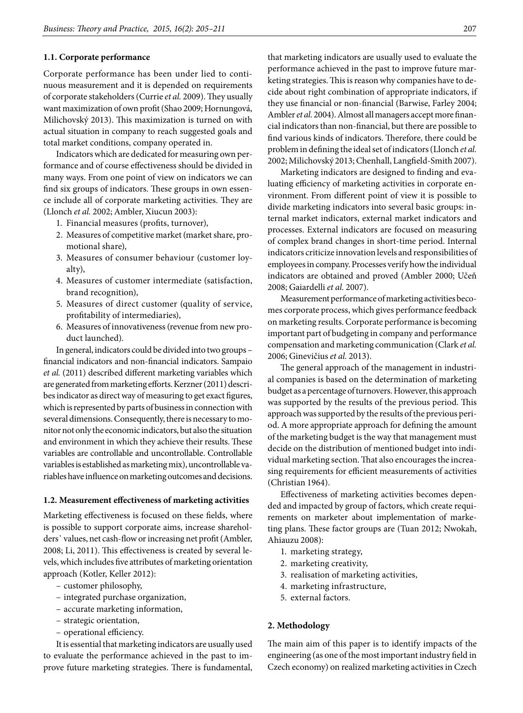# **1.1. Corporate performance**

Corporate performance has been under lied to continuous measurement and it is depended on requirements of corporate stakeholders (Currie *et al.* 2009). They usually want maximization of own profit (Shao 2009; Hornungová, Milichovský 2013). This maximization is turned on with actual situation in company to reach suggested goals and total market conditions, company operated in.

Indicators which are dedicated for measuring own performance and of course effectiveness should be divided in many ways. From one point of view on indicators we can find six groups of indicators. These groups in own essence include all of corporate marketing activities. They are (Llonch *et al.* 2002; Ambler, Xiucun 2003):

- 1. Financial measures (profits, turnover),
- 2. Measures of competitive market (market share, promotional share),
- 3. Measures of consumer behaviour (customer loyalty),
- 4. Measures of customer intermediate (satisfaction, brand recognition),
- 5. Measures of direct customer (quality of service, profitability of intermediaries),
- 6. Measures of innovativeness (revenue from new product launched).

In general, indicators could be divided into two groups – financial indicators and non-financial indicators. Sampaio *et al.* (2011) described different marketing variables which are generated from marketing efforts. Kerzner (2011) describes indicator as direct way of measuring to get exact figures, which is represented by parts of business in connection with several dimensions. Consequently, there is necessary to monitor not only the economic indicators, but also the situation and environment in which they achieve their results. These variables are controllable and uncontrollable. Controllable variables is established as marketing mix), uncontrollable variables have influence on marketing outcomes and decisions.

#### **1.2. Measurement effectiveness of marketing activities**

Marketing effectiveness is focused on these fields, where is possible to support corporate aims, increase shareholders᾽ values, net cash-flow or increasing net profit (Ambler, 2008; Li, 2011). This effectiveness is created by several levels, which includes five attributes of marketing orientation approach (Kotler, Keller 2012):

- customer philosophy,
- integrated purchase organization,
- accurate marketing information,
- strategic orientation,
- operational efficiency.

It is essential that marketing indicators are usually used to evaluate the performance achieved in the past to improve future marketing strategies. There is fundamental,

that marketing indicators are usually used to evaluate the performance achieved in the past to improve future marketing strategies. This is reason why companies have to decide about right combination of appropriate indicators, if they use financial or non-financial (Barwise, Farley 2004; Ambler *et al.* 2004). Almost all managers accept more financial indicators than non-financial, but there are possible to find various kinds of indicators. Therefore, there could be problem in defining the ideal set of indicators (Llonch *et al.* 2002; Milichovský 2013; Chenhall, Langfield-Smith 2007).

Marketing indicators are designed to finding and evaluating efficiency of marketing activities in corporate environment. From different point of view it is possible to divide marketing indicators into several basic groups: internal market indicators, external market indicators and processes. External indicators are focused on measuring of complex brand changes in short-time period. Internal indicators criticize innovation levels and responsibilities of employees in company. Processes verify how the individual indicators are obtained and proved (Ambler 2000; Učeň 2008; Gaiardelli *et al.* 2007).

Measurement performance of marketing activities becomes corporate process, which gives performance feedback on marketing results. Corporate performance is becoming important part of budgeting in company and performance compensation and marketing communication (Clark *et al.* 2006; Ginevičius *et al.* 2013).

The general approach of the management in industrial companies is based on the determination of marketing budget as a percentage of turnovers. However, this approach was supported by the results of the previous period. This approach was supported by the results of the previous period. A more appropriate approach for defining the amount of the marketing budget is the way that management must decide on the distribution of mentioned budget into individual marketing section. That also encourages the increasing requirements for efficient measurements of activities (Christian 1964).

Effectiveness of marketing activities becomes depended and impacted by group of factors, which create requirements on marketer about implementation of marketing plans. These factor groups are (Tuan 2012; Nwokah, Ahiauzu 2008):

- 1. marketing strategy,
- 2. marketing creativity,
- 3. realisation of marketing activities,
- 4. marketing infrastructure,
- 5. external factors.

### **2. Methodology**

The main aim of this paper is to identify impacts of the engineering (as one of the most important industry field in Czech economy) on realized marketing activities in Czech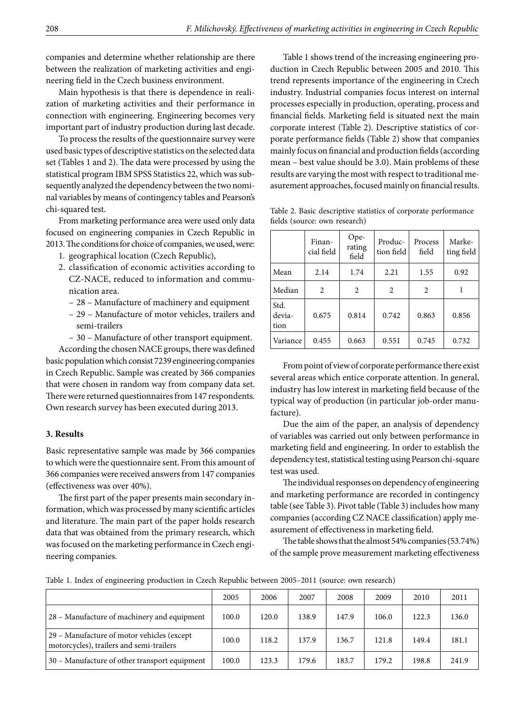companies and determine whether relationship are there between the realization of marketing activities and engineering field in the Czech business environment.

Main hypothesis is that there is dependence in realization of marketing activities and their performance in connection with engineering. Engineering becomes very important part of industry production during last decade.

To process the results of the questionnaire survey were used basic types of descriptive statistics on the selected data set (Tables 1 and 2). The data were processed by using the statistical program IBM SPSS Statistics 22, which was subsequently analyzed the dependency between the two nominal variables by means of contingency tables and Pearson's chi-squared test.

From marketing performance area were used only data focused on engineering companies in Czech Republic in 2013. The conditions for choice of companies, we used, were:

- 1. geographical location (Czech Republic),
- 2. classification of economic activities according to CZ-NACE, reduced to information and communication area.
	- 28 Manufacture of machinery and equipment
	- 29 Manufacture of motor vehicles, trailers and semi-trailers
	- 30 Manufacture of other transport equipment.

According the chosen NACE groups, there was defined basic population which consist 7239 engineering companies in Czech Republic. Sample was created by 366 companies that were chosen in random way from company data set. There were returned questionnaires from 147 respondents. Own research survey has been executed during 2013.

#### **3. Results**

Basic representative sample was made by 366 companies to which were the questionnaire sent. From this amount of 366 companies were received answers from 147 companies (effectiveness was over 40%).

The first part of the paper presents main secondary information, which was processed by many scientific articles and literature. The main part of the paper holds research data that was obtained from the primary research, which was focused on the marketing performance in Czech engineering companies.

Table 1 shows trend of the increasing engineering production in Czech Republic between 2005 and 2010. This trend represents importance of the engineering in Czech industry. Industrial companies focus interest on internal processes especially in production, operating, process and financial fields. Marketing field is situated next the main corporate interest (Table 2). Descriptive statistics of corporate performance fields (Table 2) show that companies mainly focus on financial and production fields (according mean – best value should be 3.0). Main problems of these results are varying the most with respect to traditional measurement approaches, focused mainly on financial results.

|                        | Finan-<br>cial field | Ope-<br>rating<br>field | Produc-<br>tion field | Process<br>field | Marke-<br>ting field |
|------------------------|----------------------|-------------------------|-----------------------|------------------|----------------------|
| Mean                   | 2.14                 | 1.74                    | 2.21                  | 1.55             | 0.92                 |
| Median                 | 2                    | 2                       | 2                     | 2                |                      |
| Std.<br>devia-<br>tion | 0.675                | 0.814                   | 0.742                 | 0.863            | 0.856                |
| Variance               | 0.455                | 0.663                   | 0.551                 | 0.745            | 0.732                |

Table 2. Basic descriptive statistics of corporate performance fields (source: own research)

From point of view of corporate performance there exist several areas which entice corporate attention. In general, industry has low interest in marketing field because of the typical way of production (in particular job-order manufacture).

Due the aim of the paper, an analysis of dependency of variables was carried out only between performance in marketing field and engineering. In order to establish the dependency test, statistical testing using Pearson chi-square test was used.

The individual responses on dependency of engineering and marketing performance are recorded in contingency table (see Table 3). Pivot table (Table 3) includes how many companies (according CZ NACE classification) apply measurement of effectiveness in marketing field.

The table shows that the almost 54% companies (53.74%) of the sample prove measurement marketing effectiveness

Table 1. Index of engineering production in Czech Republic between 2005–2011 (source: own research)

|                                                                                        | 2005  | 2006  | 2007  | 2008  | 2009  | 2010  | 2011  |
|----------------------------------------------------------------------------------------|-------|-------|-------|-------|-------|-------|-------|
| 28 – Manufacture of machinery and equipment                                            | 100.0 | 120.0 | 138.9 | 147.9 | 106.0 | 122.3 | 136.0 |
| 29 - Manufacture of motor vehicles (except<br>motorcycles), trailers and semi-trailers | 100.0 | 118.2 | 137.9 | 136.7 | 121.8 | 149.4 | 181.1 |
| 30 - Manufacture of other transport equipment                                          | 100.0 | 123.3 | 179.6 | 183.7 | 179.2 | 198.8 | 241.9 |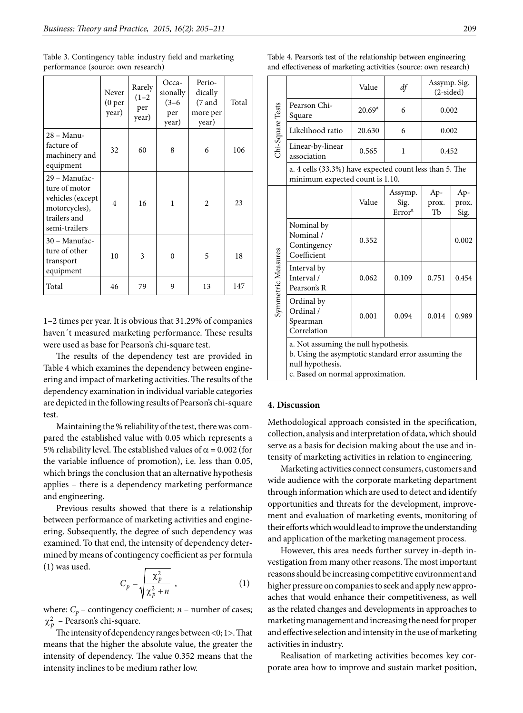|                                                                                                      | Never<br>(0 <sub>per</sub> )<br>year) | Rarely<br>$(1-2)$<br>per<br>year) | Occa-<br>sionally<br>$(3-6)$<br>per<br>year) | Perio-<br>dically<br>$(7 \text{ and }$<br>more per<br>year) | Total |
|------------------------------------------------------------------------------------------------------|---------------------------------------|-----------------------------------|----------------------------------------------|-------------------------------------------------------------|-------|
| 28 - Manu-<br>facture of<br>machinery and<br>equipment                                               | 32                                    | 60                                | 8                                            | 6                                                           | 106   |
| 29 - Manufac-<br>ture of motor<br>vehicles (except<br>motorcycles),<br>trailers and<br>semi-trailers | $\overline{4}$                        | 16                                | 1                                            | $\mathfrak{D}$                                              | 23    |
| 30 - Manufac-<br>ture of other<br>transport<br>equipment                                             | 10                                    | 3                                 | $\theta$                                     | 5                                                           | 18    |
| Total                                                                                                | 46                                    | 79                                | 9                                            | 13                                                          | 147   |

Table 3. Contingency table: industry field and marketing performance (source: own research)

1–2 times per year. It is obvious that 31.29% of companies haven´t measured marketing performance. These results were used as base for Pearson's chi-square test.

The results of the dependency test are provided in Table 4 which examines the dependency between engineering and impact of marketing activities. The results of the dependency examination in individual variable categories are depicted in the following results of Pearson's chi-square test.

Maintaining the % reliability of the test, there was compared the established value with 0.05 which represents a 5% reliability level. The established values of  $\alpha$  = 0.002 (for the variable influence of promotion), i.e. less than 0.05, which brings the conclusion that an alternative hypothesis applies – there is a dependency marketing performance and engineering.

Previous results showed that there is a relationship between performance of marketing activities and engineering. Subsequently, the degree of such dependency was examined. To that end, the intensity of dependency determined by means of contingency coefficient as per formula (1) was used.

$$
C_p = \sqrt{\frac{\chi_p^2}{\chi_p^2 + n}} \tag{1}
$$

where:  $C_p$  – contingency coefficient;  $n$  – number of cases;  $\chi_p^2$  – Pearson's chi-square.

The intensity of dependency ranges between <0; 1>. That means that the higher the absolute value, the greater the intensity of dependency. The value 0.352 means that the intensity inclines to be medium rather low.

| ٠<br>۰. |
|---------|
|         |

| Chi-Square Tests   |                                                                                                                                                      | Value           | df                                    | Assymp. Sig.<br>$(2-sided)$ |                      |  |  |
|--------------------|------------------------------------------------------------------------------------------------------------------------------------------------------|-----------------|---------------------------------------|-----------------------------|----------------------|--|--|
|                    | Pearson Chi-<br>Square                                                                                                                               | $20.69^{\rm a}$ | 6                                     | 0.002                       |                      |  |  |
|                    | Likelihood ratio                                                                                                                                     | 20.630          | 6                                     | 0.002                       |                      |  |  |
|                    | Linear-by-linear<br>association                                                                                                                      | 0.565           | 1                                     | 0.452                       |                      |  |  |
|                    | a. 4 cells (33.3%) have expected count less than 5. The<br>minimum expected count is 1.10.                                                           |                 |                                       |                             |                      |  |  |
| Symmetric Measures |                                                                                                                                                      | Value           | Assymp.<br>Sig.<br>Error <sup>a</sup> | Ap-<br>prox.<br>Tb          | Ap-<br>prox.<br>Sig. |  |  |
|                    | Nominal by<br>Nominal /<br>Contingency<br>Coefficient                                                                                                | 0.352           |                                       |                             | 0.002                |  |  |
|                    | Interval by<br>Interval /<br>Pearson's R                                                                                                             | 0.062           | 0.109                                 | 0.751                       | 0.454                |  |  |
|                    | Ordinal by<br>Ordinal /<br>Spearman<br>Correlation                                                                                                   | 0.001           | 0.094                                 | 0.014                       | 0.989                |  |  |
|                    | a. Not assuming the null hypothesis.<br>b. Using the asymptotic standard error assuming the<br>null hypothesis.<br>c. Based on normal approximation. |                 |                                       |                             |                      |  |  |

#### Table 4. Pearson's test of the relationship between engineering and effectiveness of marketing activities (source: own research)

# **4. Discussion**

Methodological approach consisted in the specification, collection, analysis and interpretation of data, which should serve as a basis for decision making about the use and intensity of marketing activities in relation to engineering.

Marketing activities connect consumers, customers and wide audience with the corporate marketing department through information which are used to detect and identify opportunities and threats for the development, improvement and evaluation of marketing events, monitoring of their efforts which would lead to improve the understanding and application of the marketing management process.

However, this area needs further survey in-depth investigation from many other reasons. The most important reasons should be increasing competitive environment and higher pressure on companies to seek and apply new approaches that would enhance their competitiveness, as well as the related changes and developments in approaches to marketing management and increasing the need for proper and effective selection and intensity in the use of marketing activities in industry.

Realisation of marketing activities becomes key corporate area how to improve and sustain market position,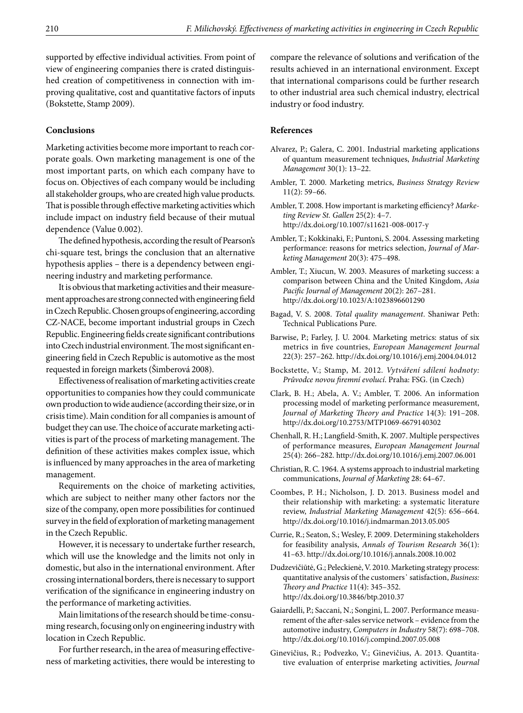supported by effective individual activities. From point of view of engineering companies there is crated distinguished creation of competitiveness in connection with improving qualitative, cost and quantitative factors of inputs (Bokstette, Stamp 2009).

#### **Conclusions**

Marketing activities become more important to reach corporate goals. Own marketing management is one of the most important parts, on which each company have to focus on. Objectives of each company would be including all stakeholder groups, who are created high value products. That is possible through effective marketing activities which include impact on industry field because of their mutual dependence (Value 0.002).

The defined hypothesis, according the result of Pearson's chi-square test, brings the conclusion that an alternative hypothesis applies – there is a dependency between engineering industry and marketing performance.

It is obvious that marketing activities and their measurement approaches are strong connected with engineering field in Czech Republic. Chosen groups of engineering, according CZ-NACE, become important industrial groups in Czech Republic. Engineering fields create significant contributions into Czech industrial environment. The most significant engineering field in Czech Republic is automotive as the most requested in foreign markets (Šimberová 2008).

Effectiveness of realisation of marketing activities create opportunities to companies how they could communicate own production to wide audience (according their size, or in crisis time). Main condition for all companies is amount of budget they can use. The choice of accurate marketing activities is part of the process of marketing management. The definition of these activities makes complex issue, which is influenced by many approaches in the area of marketing management.

Requirements on the choice of marketing activities, which are subject to neither many other factors nor the size of the company, open more possibilities for continued survey in the field of exploration of marketing management in the Czech Republic.

However, it is necessary to undertake further research, which will use the knowledge and the limits not only in domestic, but also in the international environment. After crossing international borders, there is necessary to support verification of the significance in engineering industry on the performance of marketing activities.

Main limitations of the research should be time-consuming research, focusing only on engineering industry with location in Czech Republic.

For further research, in the area of measuring effectiveness of marketing activities, there would be interesting to compare the relevance of solutions and verification of the results achieved in an international environment. Except that international comparisons could be further research to other industrial area such chemical industry, electrical industry or food industry.

#### **References**

- Alvarez, P.; Galera, C. 2001. Industrial marketing applications of quantum measurement techniques, *Industrial Marketing Management* 30(1): 13–22.
- Ambler, T. 2000. Marketing metrics, *Business Strategy Review* 11(2): 59–66.
- Ambler, T. 2008. How important is marketing efficiency? *Marketing Review St. Gallen* 25(2): 4–7. <http://dx.doi.org/10.1007/s11621-008-0017-y>
- Ambler, T.; Kokkinaki, F.; Puntoni, S. 2004. Assessing marketing performance: reasons for metrics selection, *Journal of Marketing Management* 20(3): 475–498.
- Ambler, T.; Xiucun, W. 2003. Measures of marketing success: a comparison between China and the United Kingdom, *Asia Pacific Journal of Management* 20(2): 267–281. <http://dx.doi.org/10.1023/A:1023896601290>
- Bagad, V. S. 2008. *Total quality management*. Shaniwar Peth: Technical Publications Pure.
- Barwise, P.; Farley, J. U. 2004. Marketing metrics: status of six metrics in five countries, *European Management Journal* 22(3): 257–262. <http://dx.doi.org/10.1016/j.emj.2004.04.012>
- Bockstette, V.; Stamp, M. 2012. *Vytváření sdílení hodnoty: Průvodce novou firemní evolucí*. Praha: FSG. (in Czech)
- Clark, B. H.; Abela, A. V.; Ambler, T. 2006. An information processing model of marketing performance measurement, *Journal of Marketing Theory and Practice* 14(3): 191–208. <http://dx.doi.org/10.2753/MTP1069-6679140302>
- Chenhall, R. H.; Langfield-Smith, K. 2007. Multiple perspectives of performance measures, *European Management Journal* 25(4): 266–282. <http://dx.doi.org/10.1016/j.emj.2007.06.001>
- Christian, R. C. 1964. A systems approach to industrial marketing communications, *Journal of Marketing* 28: 64–67.
- Coombes, P. H.; Nicholson, J. D. 2013. Business model and their relationship with marketing: a systematic literature review, *Industrial Marketing Management* 42(5): 656–664. <http://dx.doi.org/10.1016/j.indmarman.2013.05.005>
- Currie, R.; Seaton, S.; Wesley, F. 2009. Determining stakeholders for feasibility analysis, *Annals of Tourism Research* 36(1): 41–63.<http://dx.doi.org/10.1016/j.annals.2008.10.002>
- Dudzevičiūtė, G.; Peleckienė, V. 2010. Marketing strategy process: quantitative analysis of the customers᾽ satisfaction, *Business: Theory and Practice* 11(4): 345–352. <http://dx.doi.org/10.3846/btp.2010.37>
- Gaiardelli, P.; Saccani, N.; Songini, L. 2007. Performance measurement of the after-sales service network – evidence from the automotive industry, *Computers in Industry* 58(7): 698–708. <http://dx.doi.org/10.1016/j.compind.2007.05.008>
- Ginevičius, R.; Podvezko, V.; Ginevičius, A. 2013. Quantitative evaluation of enterprise marketing activities, *Journal*